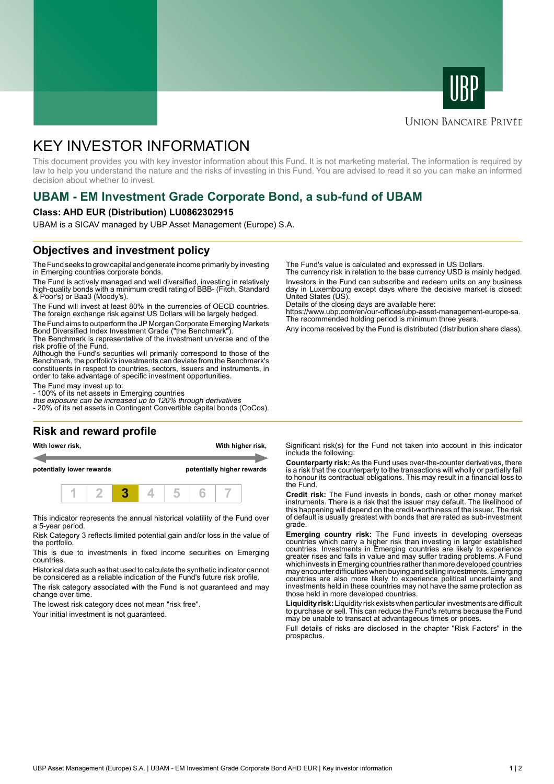



# **UNION BANCAIRE PRIVÉE**

# KEY INVESTOR INFORMATION

This document provides you with key investor information about this Fund. It is not marketing material. The information is required by law to help you understand the nature and the risks of investing in this Fund. You are advised to read it so you can make an informed decision about whether to invest.

# **UBAM - EM Investment Grade Corporate Bond, a sub-fund of UBAM**

### **Class: AHD EUR (Distribution) LU0862302915**

UBAM is a SICAV managed by UBP Asset Management (Europe) S.A.

# **Objectives and investment policy**

The Fund seeks to grow capital and generate income primarily by investing in Emerging countries corporate bonds.

The Fund is actively managed and well diversified, investing in relatively high-quality bonds with a minimum credit rating of BBB- (Fitch, Standard & Poor's) or Baa3 (Moody's).

The Fund will invest at least 80% in the currencies of OECD countries. The foreign exchange risk against US Dollars will be largely hedged.

The Fund aims to outperform the JP Morgan Corporate Emerging Markets Bond Diversified Index Investment Grade ("the Benchmark").

The Benchmark is representative of the investment universe and of the risk profile of the Fund.

Although the Fund's securities will primarily correspond to those of the Benchmark, the portfolio's investments can deviate from the Benchmark's constituents in respect to countries, sectors, issuers and instruments, in order to take advantage of specific investment opportunities.

The Fund may invest up to:

- 100% of its net assets in Emerging countries

this exposure can be increased up to 120% through derivatives - 20% of its net assets in Contingent Convertible capital bonds (CoCos).

# **Risk and reward profile**

**With lower risk, With higher risk,**

**potentially lower rewards potentially higher rewards**



This indicator represents the annual historical volatility of the Fund over a 5-year period.

Risk Category 3 reflects limited potential gain and/or loss in the value of the portfolio.

This is due to investments in fixed income securities on Emerging countries.

Historical data such as that used to calculate the synthetic indicator cannot be considered as a reliable indication of the Fund's future risk profile.

The risk category associated with the Fund is not guaranteed and may change over time.

The lowest risk category does not mean "risk free".

Your initial investment is not guaranteed.

The Fund's value is calculated and expressed in US Dollars.

The currency risk in relation to the base currency USD is mainly hedged. Investors in the Fund can subscribe and redeem units on any business day in Luxembourg except days where the decisive market is closed: United States (US).

Details of the closing days are available here:

https://www.ubp.com/en/our-offices/ubp-asset-management-europe-sa. The recommended holding period is minimum three years.

Any income received by the Fund is distributed (distribution share class).

Significant risk(s) for the Fund not taken into account in this indicator include the following:

**Counterparty risk:** As the Fund uses over-the-counter derivatives, there is a risk that the counterparty to the transactions will wholly or partially fail to honour its contractual obligations. This may result in a financial loss to the Fund.

**Credit risk:** The Fund invests in bonds, cash or other money market instruments. There is a risk that the issuer may default. The likelihood of this happening will depend on the credit-worthiness of the issuer. The risk of default is usually greatest with bonds that are rated as sub-investment grade.

**Emerging country risk:** The Fund invests in developing overseas countries which carry a higher risk than investing in larger established countries. Investments in Emerging countries are likely to experience greater rises and falls in value and may suffer trading problems. A Fund which invests in Emerging countries rather than more developed countries may encounter difficulties when buying and selling investments. Emerging countries are also more likely to experience political uncertainty and investments held in these countries may not have the same protection as those held in more developed countries.

**Liquidity risk:** Liquidity risk exists when particular investments are difficult to purchase or sell. This can reduce the Fund's returns because the Fund may be unable to transact at advantageous times or prices.

Full details of risks are disclosed in the chapter "Risk Factors" in the prospectus.